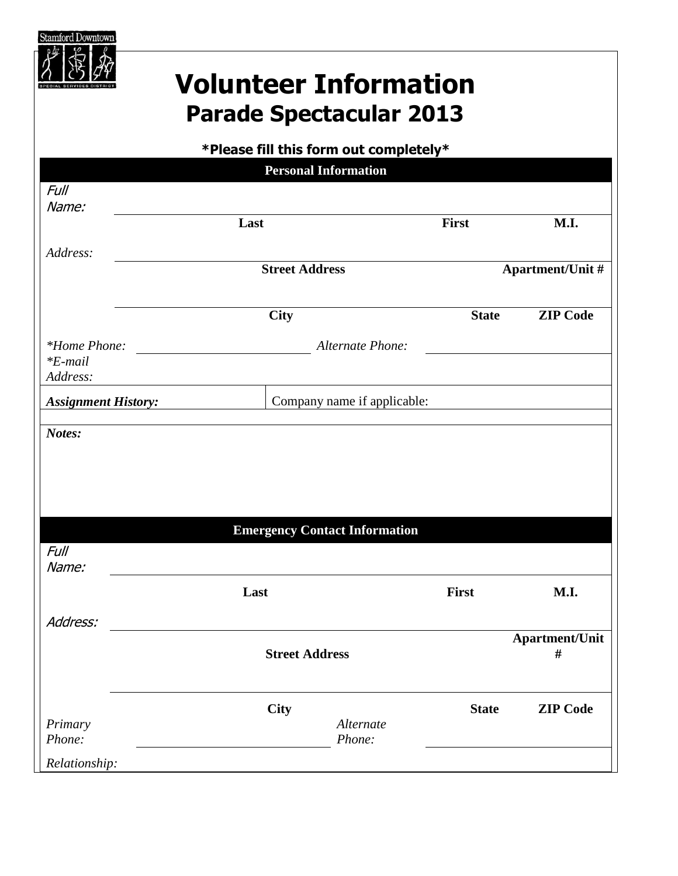

## **Volunteer Information Parade Spectacular 2013**

## **\*Please fill this form out completely\***

|                            | <b>Personal Information</b>          |                  |                         |
|----------------------------|--------------------------------------|------------------|-------------------------|
| <b>Full</b>                |                                      |                  |                         |
| Name:                      |                                      | First            |                         |
|                            | Last                                 |                  | M.I.                    |
| Address:                   |                                      |                  |                         |
|                            | <b>Street Address</b>                |                  | <b>Apartment/Unit #</b> |
|                            | <b>City</b>                          | <b>State</b>     | <b>ZIP Code</b>         |
| <i>*Home Phone:</i>        |                                      | Alternate Phone: |                         |
| $*E$ -mail<br>Address:     |                                      |                  |                         |
| <b>Assignment History:</b> | Company name if applicable:          |                  |                         |
| Notes:                     |                                      |                  |                         |
|                            |                                      |                  |                         |
|                            |                                      |                  |                         |
|                            |                                      |                  |                         |
|                            |                                      |                  |                         |
|                            |                                      |                  |                         |
|                            | <b>Emergency Contact Information</b> |                  |                         |
| <b>Full</b>                |                                      |                  |                         |
| Name:                      |                                      |                  |                         |
|                            |                                      |                  |                         |
|                            | Last                                 | First            | M.I.                    |
|                            |                                      |                  |                         |
| Address:                   |                                      |                  |                         |
|                            |                                      |                  | <b>Apartment/Unit</b>   |
|                            | <b>Street Address</b>                |                  | #                       |
|                            |                                      |                  |                         |
|                            |                                      |                  |                         |
|                            | <b>City</b>                          | <b>State</b>     | <b>ZIP</b> Code         |
| Primary                    |                                      | Alternate        |                         |
| Phone:                     |                                      | Phone:           |                         |
| Relationship:              |                                      |                  |                         |
|                            |                                      |                  |                         |